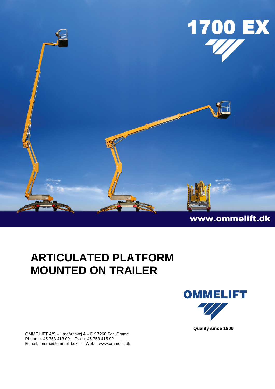

## **ARTICULATED PLATFORM MOUNTED ON TRAILER**





**Quality since 1906**